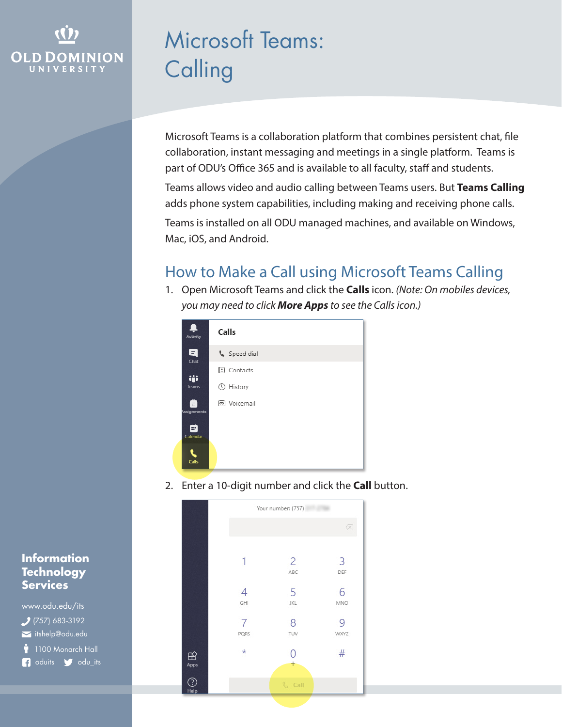# **OLD DOMINION** UNIVERSITY

# Microsoft Teams: **Calling**

Microsoft Teams is a collaboration platform that combines persistent chat, file collaboration, instant messaging and meetings in a single platform. Teams is part of ODU's Office 365 and is available to all faculty, staff and students.

Teams allows video and audio calling between Teams users. But **Teams Calling** adds phone system capabilities, including making and receiving phone calls.

Teams is installed on all ODU managed machines, and available on Windows, Mac, iOS, and Android.

# How to Make a Call using Microsoft Teams Calling

1. Open Microsoft Teams and click the **Calls** icon. *(Note: On mobiles devices, you may need to click More Apps to see the Calls icon.)*



2. Enter a 10-digit number and click the **Call** button.



### **Information Technology Services**

www.odu.edu/its itshelp@odu.edu  $(757)$  683-3192 1100 Monarch Hall f oduits odu\_its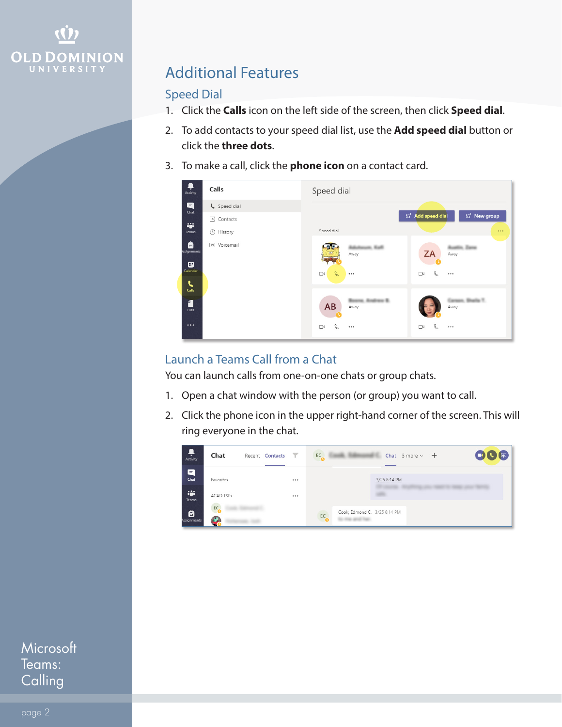

# Additional Features

### Speed Dial

- 1. Click the **Calls** icon on the left side of the screen, then click **Speed dial**.
- 2. To add contacts to your speed dial list, use the **Add speed dial** button or click the **three dots**.
- 3. To make a call, click the **phone icon** on a contact card.



# Launch a Teams Call from a Chat

You can launch calls from one-on-one chats or group chats.

- 1. Open a chat window with the person (or group) you want to call.
- 2. Click the phone icon in the upper right-hand corner of the screen. This will ring everyone in the chat.

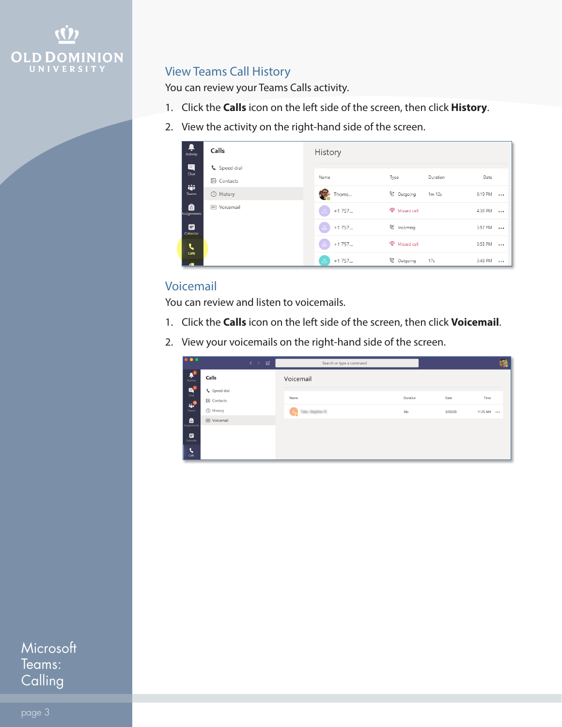

# View Teams Call History

You can review your Teams Calls activity.

- 1. Click the **Calls** icon on the left side of the screen, then click **History**.
- 2. View the activity on the right-hand side of the screen.

| Ļ<br>Activity           | Calls                            | History                                    |                          |          |              |  |
|-------------------------|----------------------------------|--------------------------------------------|--------------------------|----------|--------------|--|
| 티<br>Chat               | Speed dial                       | Name                                       | Type                     | Duration | Date         |  |
| ŵ.<br>Teams             | [2] Contacts<br><b>O</b> History | Thoms                                      | C Outgoing               | 1m 12s   | $6:19$ PM $$ |  |
| â<br><b>Assignments</b> | Voicemail<br>$\boxed{CD}$        | $\stackrel{\circ}{\Rightarrow}$<br>$+1757$ | <sup>®</sup> Missed call |          | 4:38 PM      |  |
| ⊞<br><b>Calendar</b>    |                                  | $\stackrel{\circ}{\Rightarrow}$<br>$+1757$ | & Incoming               |          | 3:57 PM      |  |
| $\mathbf{C}$<br>Calls   |                                  | $+1757$<br>$\stackrel{\circ}{\Rightarrow}$ | <sup>®</sup> Missed call |          | 3:53 PM      |  |
|                         |                                  | $\stackrel{\circ}{\Rightarrow}$<br>$+1757$ | C Outgoing               | 17s      | 3:48 PM      |  |

# Voicemail

You can review and listen to voicemails.

- 1. Click the **Calls** icon on the left side of the screen, then click **Voicemail**.
- 2. View your voicemails on the right-hand side of the screen.

| $\bullet\bullet\bullet$           | $\mathbb{Z}$<br>$\langle \rangle$ | Search or type a command |          |         | Q)       |
|-----------------------------------|-----------------------------------|--------------------------|----------|---------|----------|
| $\mathbf{A}^2$<br>Activity        | Calls                             | Voicemail                |          |         |          |
| $\mathbf{B}^2$                    | Speed dial<br>$\Box$ Contacts     | Name                     | Duration | Date    | Time     |
| <b>Company</b>                    | <b>O</b> History                  | $\frac{1}{2}$ in the set | 38s      | 3/20/20 | 11:25 AM |
| â<br>Assignments<br>₩<br>Calendar | co Voicemail                      |                          |          |         |          |
| $\mathbf{C}$<br>Calls             |                                   |                          |          |         |          |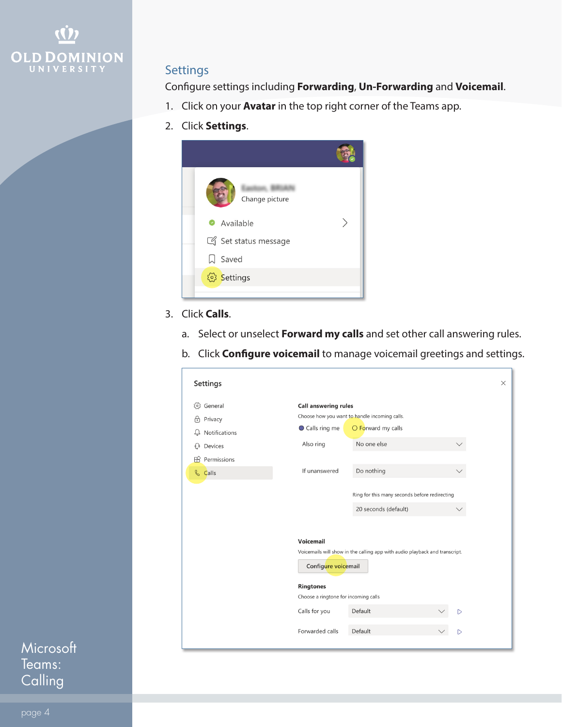

### Settings

Configure settings including **Forwarding**, **Un-Forwarding** and **Voicemail**.

- 1. Click on your **Avatar** in the top right corner of the Teams app.
- 2. Click **Settings**.



- 3. Click **Calls**.
	- a. Select or unselect **Forward my calls** and set other call answering rules.
	- b. Click **Configure voicemail** to manage voicemail greetings and settings.

| Settings                                                                                                                                                       |                                               |                                                                       | $\times$ |  |  |  |                 |         |   |
|----------------------------------------------------------------------------------------------------------------------------------------------------------------|-----------------------------------------------|-----------------------------------------------------------------------|----------|--|--|--|-----------------|---------|---|
| (၁) General                                                                                                                                                    | <b>Call answering rules</b>                   |                                                                       |          |  |  |  |                 |         |   |
| Privacy<br>尙                                                                                                                                                   | Choose how you want to handle incoming calls. |                                                                       |          |  |  |  |                 |         |   |
| Notifications<br>⊥                                                                                                                                             | ◯ Calls ring me                               | O Forward my calls                                                    |          |  |  |  |                 |         |   |
| Devices<br>⊙                                                                                                                                                   | Also ring                                     | No one else                                                           |          |  |  |  |                 |         |   |
| Permissions<br>ПĤ                                                                                                                                              |                                               |                                                                       |          |  |  |  |                 |         |   |
| & Calls                                                                                                                                                        | If unanswered                                 | Do nothing                                                            |          |  |  |  |                 |         |   |
|                                                                                                                                                                | Voicemail                                     | Ring for this many seconds before redirecting<br>20 seconds (default) |          |  |  |  |                 |         |   |
| Voicemails will show in the calling app with audio playback and transcript.<br>Configure voicemail<br><b>Ringtones</b><br>Choose a ringtone for incoming calls |                                               |                                                                       |          |  |  |  |                 |         |   |
|                                                                                                                                                                |                                               |                                                                       |          |  |  |  | Calls for you   | Default |   |
|                                                                                                                                                                |                                               |                                                                       |          |  |  |  | Forwarded calls | Default | D |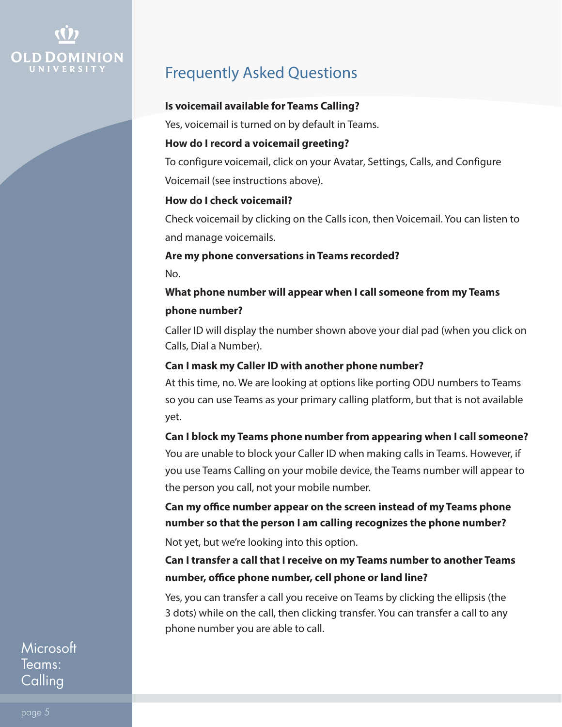

# Frequently Asked Questions

#### **Is voicemail available for Teams Calling?**

Yes, voicemail is turned on by default in Teams.

### **How do I record a voicemail greeting?**

To configure voicemail, click on your Avatar, Settings, Calls, and Configure Voicemail (see instructions above).

### **How do I check voicemail?**

Check voicemail by clicking on the Calls icon, then Voicemail. You can listen to and manage voicemails.

# **Are my phone conversations in Teams recorded?**

No.

# **What phone number will appear when I call someone from my Teams phone number?**

Caller ID will display the number shown above your dial pad (when you click on Calls, Dial a Number).

### **Can I mask my Caller ID with another phone number?**

At this time, no. We are looking at options like porting ODU numbers to Teams so you can use Teams as your primary calling platform, but that is not available yet.

#### **Can I block my Teams phone number from appearing when I call someone?**

You are unable to block your Caller ID when making calls in Teams. However, if you use Teams Calling on your mobile device, the Teams number will appear to the person you call, not your mobile number.

### **Can my office number appear on the screen instead of my Teams phone number so that the person I am calling recognizes the phone number?**

Not yet, but we're looking into this option.

## **Can I transfer a call that I receive on my Teams number to another Teams number, office phone number, cell phone or land line?**

Yes, you can transfer a call you receive on Teams by clicking the ellipsis (the 3 dots) while on the call, then clicking transfer. You can transfer a call to any phone number you are able to call.